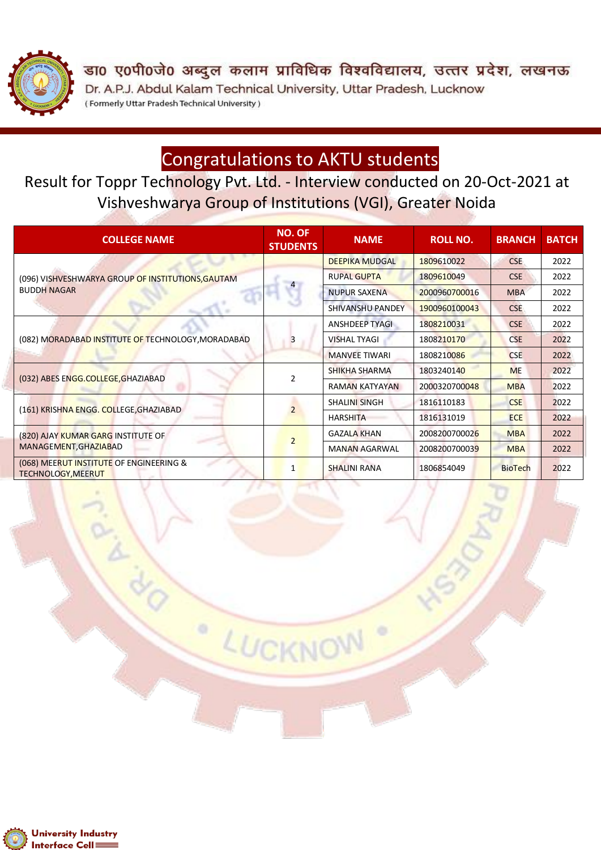

डा0 ए0पी0जे0 अब्दुल कलाम प्राविधिक विश्वविद्यालय, उत्तर प्रदेश, लखनऊ Dr. A.P.J. Abdul Kalam Technical University, Uttar Pradesh, Lucknow (Formerly Uttar Pradesh Technical University)

# Congratulations to AKTU students

Result for Toppr Technology Pvt. Ltd. - Interview conducted on 20-Oct-2021 at Vishveshwarya Group of Institutions (VGI), Greater Noida

| <b>COLLEGE NAME</b>                                                     | <b>NO. OF</b><br><b>STUDENTS</b> | <b>NAME</b>           | <b>ROLL NO.</b> | <b>BRANCH</b>  | <b>BATCH</b> |
|-------------------------------------------------------------------------|----------------------------------|-----------------------|-----------------|----------------|--------------|
| (096) VISHVESHWARYA GROUP OF INSTITUTIONS, GAUTAM<br><b>BUDDH NAGAR</b> | $\overline{a}$                   | <b>DEEPIKA MUDGAL</b> | 1809610022      | <b>CSE</b>     | 2022         |
|                                                                         |                                  | <b>RUPAL GUPTA</b>    | 1809610049      | <b>CSE</b>     | 2022         |
|                                                                         |                                  | <b>NUPUR SAXENA</b>   | 2000960700016   | <b>MBA</b>     | 2022         |
|                                                                         |                                  | SHIVANSHU PANDEY      | 1900960100043   | <b>CSE</b>     | 2022         |
| (082) MORADABAD INSTITUTE OF TECHNOLOGY, MORADABAD                      | 3                                | <b>ANSHDEEP TYAGI</b> | 1808210031      | <b>CSE</b>     | 2022         |
|                                                                         |                                  | <b>VISHAL TYAGI</b>   | 1808210170      | <b>CSE</b>     | 2022         |
|                                                                         |                                  | <b>MANVEE TIWARI</b>  | 1808210086      | <b>CSE</b>     | 2022         |
| (032) ABES ENGG.COLLEGE, GHAZIABAD                                      | $\overline{2}$                   | SHIKHA SHARMA         | 1803240140      | <b>ME</b>      | 2022         |
|                                                                         |                                  | <b>RAMAN KATYAYAN</b> | 2000320700048   | <b>MBA</b>     | 2022         |
| (161) KRISHNA ENGG. COLLEGE, GHAZIABAD                                  |                                  | <b>SHALINI SINGH</b>  | 1816110183      | <b>CSE</b>     | 2022         |
|                                                                         |                                  | <b>HARSHITA</b>       | 1816131019      | <b>ECE</b>     | 2022         |
| (820) AJAY KUMAR GARG INSTITUTE OF<br>MANAGEMENT, GHAZIABAD             | $\overline{2}$                   | <b>GAZALA KHAN</b>    | 2008200700026   | <b>MBA</b>     | 2022         |
|                                                                         |                                  | <b>MANAN AGARWAL</b>  | 2008200700039   | <b>MBA</b>     | 2022         |
| (068) MEERUT INSTITUTE OF ENGINEERING &<br>TECHNOLOGY, MEERUT           | 1                                | <b>SHALINI RANA</b>   | 1806854049      | <b>BioTech</b> | 2022         |

LUCKNO

 $\circ$ 

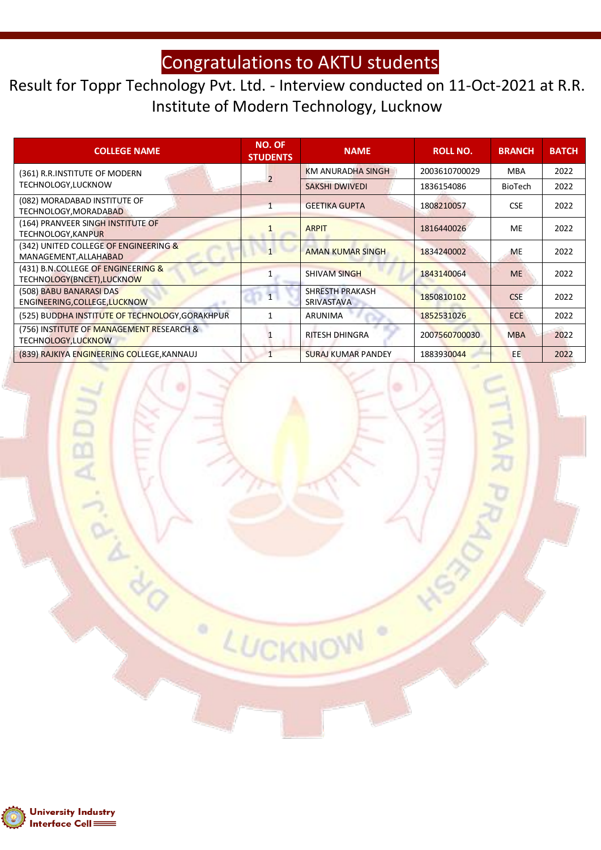## Congratulations to AKTU students

#### Result for Toppr Technology Pvt. Ltd. - Interview conducted on 11-Oct-2021 at R.R. Institute of Modern Technology, Lucknow

| <b>COLLEGE NAME</b>                                             | <b>NO. OF</b><br><b>STUDENTS</b> | <b>NAME</b>                                 | <b>ROLL NO.</b> | <b>BRANCH</b>  | <b>BATCH</b> |
|-----------------------------------------------------------------|----------------------------------|---------------------------------------------|-----------------|----------------|--------------|
| (361) R.R.INSTITUTE OF MODERN<br>TECHNOLOGY,LUCKNOW             |                                  | <b>KM ANURADHA SINGH</b>                    | 2003610700029   | <b>MBA</b>     | 2022         |
|                                                                 |                                  | <b>SAKSHI DWIVEDI</b>                       | 1836154086      | <b>BioTech</b> | 2022         |
| (082) MORADABAD INSTITUTE OF<br>TECHNOLOGY, MORADABAD           |                                  | <b>GEETIKA GUPTA</b>                        | 1808210057      | <b>CSE</b>     | 2022         |
| (164) PRANVEER SINGH INSTITUTE OF<br>TECHNOLOGY, KANPUR         |                                  | <b>ARPIT</b>                                | 1816440026      | <b>ME</b>      | 2022         |
| (342) UNITED COLLEGE OF ENGINEERING &<br>MANAGEMENT, ALLAHABAD  | $\mathbf{1}$                     | <b>AMAN KUMAR SINGH</b>                     | 1834240002      | <b>ME</b>      | 2022         |
| (431) B.N.COLLEGE OF ENGINEERING &<br>TECHNOLOGY(BNCET),LUCKNOW |                                  | <b>SHIVAM SINGH</b>                         | 1843140064      | <b>ME</b>      | 2022         |
| (508) BABU BANARASI DAS<br>ENGINEERING, COLLEGE, LUCKNOW        |                                  | <b>SHRESTH PRAKASH</b><br><b>SRIVASTAVA</b> | 1850810102      | <b>CSE</b>     | 2022         |
| (525) BUDDHA INSTITUTE OF TECHNOLOGY, GORAKHPUR                 | 1                                | ARUNIMA                                     | 1852531026      | <b>ECE</b>     | 2022         |
| (756) INSTITUTE OF MANAGEMENT RESEARCH &<br>TECHNOLOGY,LUCKNOW  |                                  | <b>RITESH DHINGRA</b>                       | 2007560700030   | <b>MBA</b>     | 2022         |
| (839) RAJKIYA ENGINEERING COLLEGE, KANNAUJ                      |                                  | <b>SURAJ KUMAR PANDEY</b>                   | 1883930044      | EE.            | 2022         |

LUCKNO

۰

W